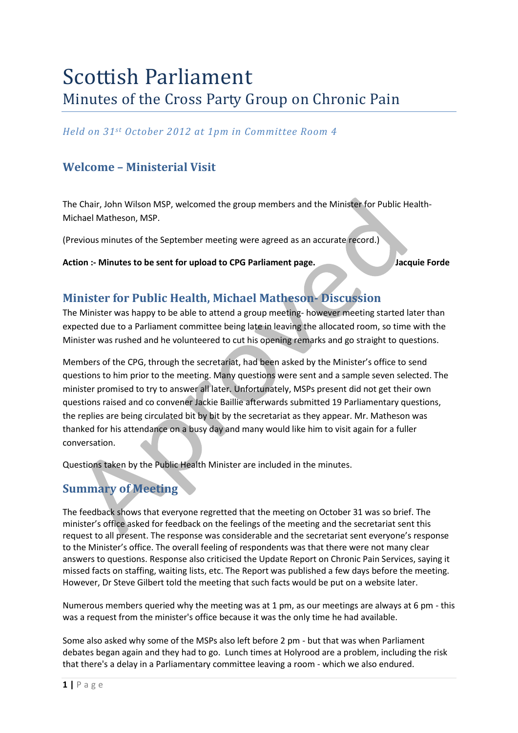# Scottish Parliament Minutes of the Cross Party Group on Chronic Pain

*Held on 31st October 2012 at 1pm in Committee Room 4*

## **Welcome – Ministerial Visit**

The Chair, John Wilson MSP, welcomed the group members and the Minister for Public Health-Michael Matheson, MSP.

(Previous minutes of the September meeting were agreed as an accurate record.)

Action :- Minutes to be sent for upload to CPG Parliament page. Jacquie Forde

## **Minister for Public Health, Michael Matheson- Discussion**

The Minister was happy to be able to attend a group meeting- however meeting started later than expected due to a Parliament committee being late in leaving the allocated room, so time with the Minister was rushed and he volunteered to cut his opening remarks and go straight to questions.

Members of the CPG, through the secretariat, had been asked by the Minister's office to send questions to him prior to the meeting. Many questions were sent and a sample seven selected. The minister promised to try to answer all later. Unfortunately, MSPs present did not get their own questions raised and co convener Jackie Baillie afterwards submitted 19 Parliamentary questions, the replies are being circulated bit by bit by the secretariat as they appear. Mr. Matheson was thanked for his attendance on a busy day and many would like him to visit again for a fuller conversation.

Questions taken by the Public Health Minister are included in the minutes.

# **Summary of Meeting**

The feedback shows that everyone regretted that the meeting on October 31 was so brief. The minister's office asked for feedback on the feelings of the meeting and the secretariat sent this request to all present. The response was considerable and the secretariat sent everyone's response to the Minister's office. The overall feeling of respondents was that there were not many clear answers to questions. Response also criticised the Update Report on Chronic Pain Services, saying it missed facts on staffing, waiting lists, etc. The Report was published a few days before the meeting. However, Dr Steve Gilbert told the meeting that such facts would be put on a website later.

Numerous members queried why the meeting was at 1 pm, as our meetings are always at 6 pm - this was a request from the minister's office because it was the only time he had available.

Some also asked why some of the MSPs also left before 2 pm - but that was when Parliament debates began again and they had to go. Lunch times at Holyrood are a problem, including the risk that there's a delay in a Parliamentary committee leaving a room - which we also endured.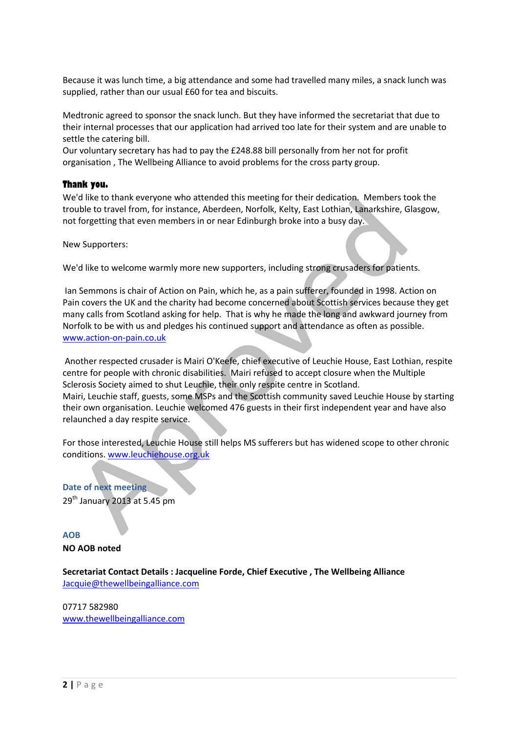Because it was lunch time, a big attendance and some had travelled many miles, a snack lunch was supplied, rather than our usual £60 for tea and biscuits.

Medtronic agreed to sponsor the snack lunch. But they have informed the secretariat that due to their internal processes that our application had arrived too late for their system and are unable to settle the catering bill.

Our voluntary secretary has had to pay the £248.88 bill personally from her not for profit organisation , The Wellbeing Alliance to avoid problems for the cross party group.

#### **Thank you.**

We'd like to thank everyone who attended this meeting for their dedication. Members took the trouble to travel from, for instance, Aberdeen, Norfolk, Kelty, East Lothian, Lanarkshire, Glasgow, not forgetting that even members in or near Edinburgh broke into a busy day.

New Supporters:

We'd like to welcome warmly more new supporters, including strong crusaders for patients.

Ian Semmons is chair of Action on Pain, which he, as a pain sufferer, founded in 1998. Action on Pain covers the UK and the charity had become concerned about Scottish services because they get many calls from Scotland asking for help. That is why he made the long and awkward journey from Norfolk to be with us and pledges his continued support and attendance as often as possible. [www.action-on-pain.co.uk](http://www.action-on-pain.co.uk/)

Another respected crusader is Mairi O'Keefe, chief executive of Leuchie House, East Lothian, respite centre for people with chronic disabilities. Mairi refused to accept closure when the Multiple Sclerosis Society aimed to shut Leuchie, their only respite centre in Scotland. Mairi, Leuchie staff, guests, some MSPs and the Scottish community saved Leuchie House by starting their own organisation. Leuchie welcomed 476 guests in their first independent year and have also relaunched a day respite service.

For those interested, Leuchie House still helps MS sufferers but has widened scope to other chronic conditions. [www.leuchiehouse.org.uk](http://www.leuchiehouse.org.uk/)

**Date of next meeting** 29<sup>th</sup> January 2013 at 5.45 pm

**AOB NO AOB noted** 

**Secretariat Contact Details : Jacqueline Forde, Chief Executive , The Wellbeing Alliance** [Jacquie@thewellbeingalliance.com](mailto:Jacquie@thewellbeingalliance.com)

07717 582980 [www.thewellbeingalliance.com](http://www.thewellbeingalliance.com/)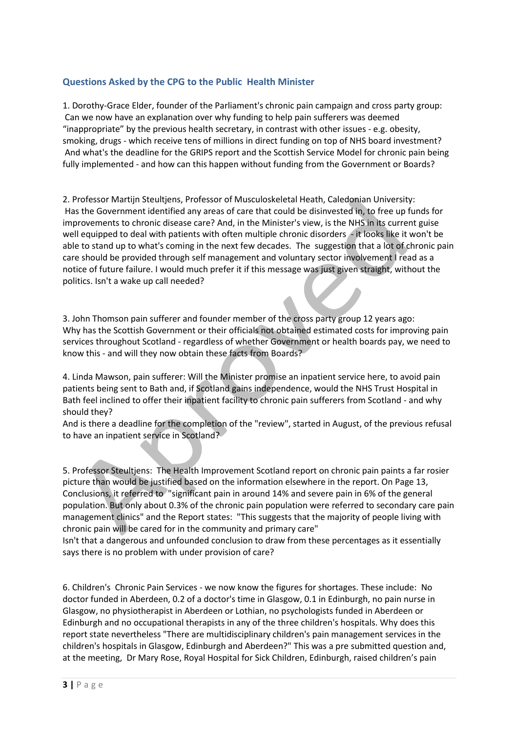## **Questions Asked by the CPG to the Public Health Minister**

1. Dorothy-Grace Elder, founder of the Parliament's chronic pain campaign and cross party group: Can we now have an explanation over why funding to help pain sufferers was deemed "inappropriate" by the previous health secretary, in contrast with other issues - e.g. obesity, smoking, drugs - which receive tens of millions in direct funding on top of NHS board investment? And what's the deadline for the GRIPS report and the Scottish Service Model for chronic pain being fully implemented - and how can this happen without funding from the Government or Boards?

2. Professor Martijn Steultjens, Professor of Musculoskeletal Heath, Caledonian University: Has the Government identified any areas of care that could be disinvested in, to free up funds for improvements to chronic disease care? And, in the Minister's view, is the NHS in its current guise well equipped to deal with patients with often multiple chronic disorders - it looks like it won't be able to stand up to what's coming in the next few decades. The suggestion that a lot of chronic pain care should be provided through self management and voluntary sector involvement I read as a notice of future failure. I would much prefer it if this message was just given straight, without the politics. Isn't a wake up call needed?

3. John Thomson pain sufferer and founder member of the cross party group 12 years ago: Why has the Scottish Government or their officials not obtained estimated costs for improving pain services throughout Scotland - regardless of whether Government or health boards pay, we need to know this - and will they now obtain these facts from Boards?

4. Linda Mawson, pain sufferer: Will the Minister promise an inpatient service here, to avoid pain patients being sent to Bath and, if Scotland gains independence, would the NHS Trust Hospital in Bath feel inclined to offer their inpatient facility to chronic pain sufferers from Scotland - and why should they?

And is there a deadline for the completion of the "review", started in August, of the previous refusal to have an inpatient service in Scotland?

5. Professor Steultjens: The Health Improvement Scotland report on chronic pain paints a far rosier picture than would be justified based on the information elsewhere in the report. On Page 13, Conclusions, it referred to "significant pain in around 14% and severe pain in 6% of the general population. But only about 0.3% of the chronic pain population were referred to secondary care pain management clinics" and the Report states: "This suggests that the majority of people living with chronic pain will be cared for in the community and primary care"

Isn't that a dangerous and unfounded conclusion to draw from these percentages as it essentially says there is no problem with under provision of care?

6. Children's Chronic Pain Services - we now know the figures for shortages. These include: No doctor funded in Aberdeen, 0.2 of a doctor's time in Glasgow, 0.1 in Edinburgh, no pain nurse in Glasgow, no physiotherapist in Aberdeen or Lothian, no psychologists funded in Aberdeen or Edinburgh and no occupational therapists in any of the three children's hospitals. Why does this report state nevertheless "There are multidisciplinary children's pain management services in the children's hospitals in Glasgow, Edinburgh and Aberdeen?" This was a pre submitted question and, at the meeting, Dr Mary Rose, Royal Hospital for Sick Children, Edinburgh, raised children's pain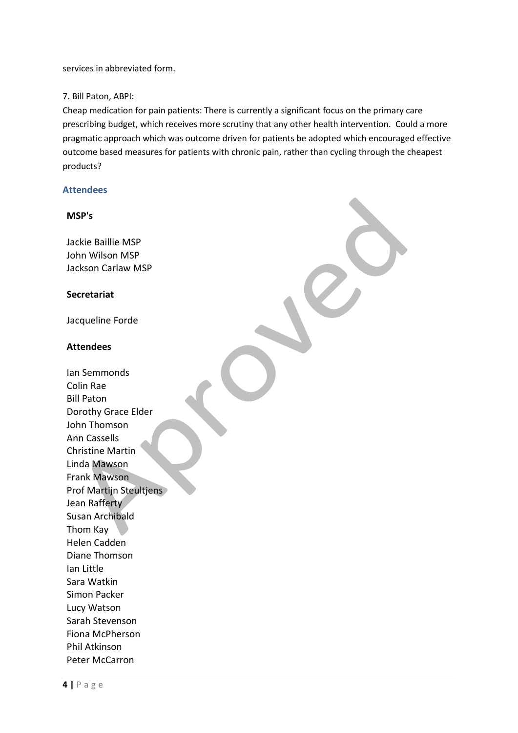services in abbreviated form.

#### 7. Bill Paton, ABPI:

Cheap medication for pain patients: There is currently a significant focus on the primary care prescribing budget, which receives more scrutiny that any other health intervention. Could a more pragmatic approach which was outcome driven for patients be adopted which encouraged effective outcome based measures for patients with chronic pain, rather than cycling through the cheapest products?

#### **Attendees**

#### **MSP's**

Jackie Baillie MSP John Wilson MSP Jackson Carlaw MSP

#### **Secretariat**

Jacqueline Forde

#### **Attendees**

Ian Semmonds Colin Rae Bill Paton Dorothy Grace Elder John Thomson Ann Cassells Christine Martin Linda Mawson Frank Mawson Prof Martijn Steultjens Jean Rafferty Susan Archibald Thom Kay Helen Cadden Diane Thomson Ian Little Sara Watkin Simon Packer Lucy Watson Sarah Stevenson Fiona McPherson Phil Atkinson Peter McCarron